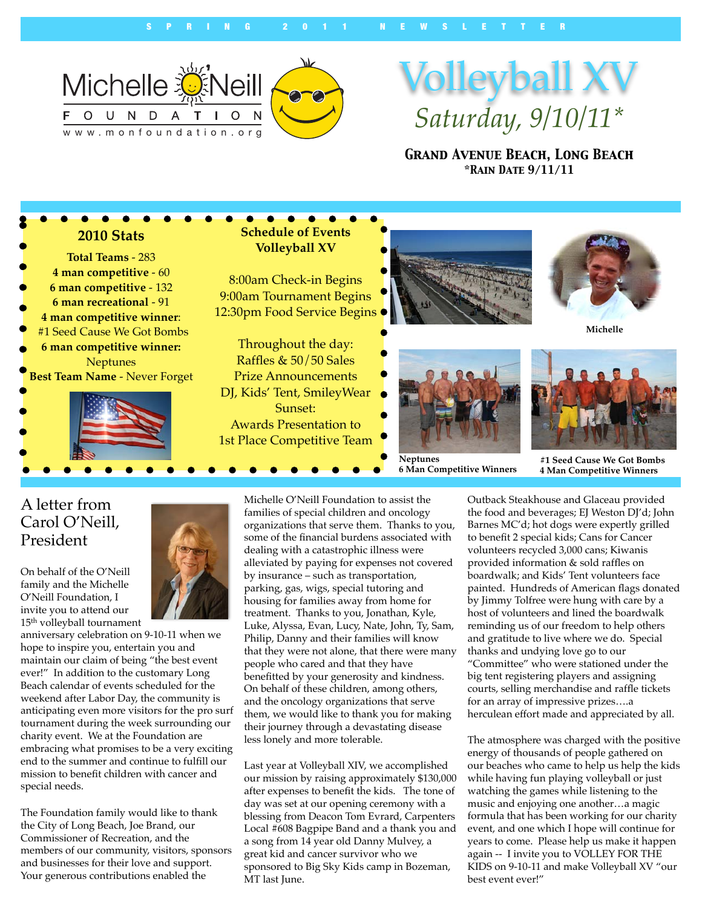

# Volleyball XV *Saturday, 9/10/11\**

*Grand Avenue Beach, Long Beach \*Rain Date 9/11/11*



#### A letter from Carol O'Neill, President

On behalf of the O'Neill family and the Michelle O'Neill Foundation, I invite you to attend our 15th volleyball tournament



anniversary celebration on 9-10-11 when we hope to inspire you, entertain you and maintain our claim of being "the best event ever!" In addition to the customary Long Beach calendar of events scheduled for the weekend after Labor Day, the community is anticipating even more visitors for the pro surf tournament during the week surrounding our charity event. We at the Foundation are embracing what promises to be a very exciting end to the summer and continue to fulfill our mission to benefit children with cancer and special needs.

The Foundation family would like to thank the City of Long Beach, Joe Brand, our Commissioner of Recreation, and the members of our community, visitors, sponsors and businesses for their love and support. Your generous contributions enabled the

Michelle O'Neill Foundation to assist the families of special children and oncology organizations that serve them. Thanks to you, some of the financial burdens associated with dealing with a catastrophic illness were alleviated by paying for expenses not covered by insurance – such as transportation, parking, gas, wigs, special tutoring and housing for families away from home for treatment. Thanks to you, Jonathan, Kyle, Luke, Alyssa, Evan, Lucy, Nate, John, Ty, Sam, Philip, Danny and their families will know that they were not alone, that there were many people who cared and that they have benefitted by your generosity and kindness. On behalf of these children, among others, and the oncology organizations that serve them, we would like to thank you for making their journey through a devastating disease less lonely and more tolerable.

Last year at Volleyball XIV, we accomplished our mission by raising approximately \$130,000 after expenses to benefit the kids. The tone of day was set at our opening ceremony with a blessing from Deacon Tom Evrard, Carpenters Local #608 Bagpipe Band and a thank you and a song from 14 year old Danny Mulvey, a great kid and cancer survivor who we sponsored to Big Sky Kids camp in Bozeman, MT last June.

Outback Steakhouse and Glaceau provided the food and beverages; EJ Weston DJ'd; John Barnes MC'd; hot dogs were expertly grilled to benefit 2 special kids; Cans for Cancer volunteers recycled 3,000 cans; Kiwanis provided information & sold raffles on boardwalk; and Kids' Tent volunteers face painted. Hundreds of American flags donated by Jimmy Tolfree were hung with care by a host of volunteers and lined the boardwalk reminding us of our freedom to help others and gratitude to live where we do. Special thanks and undying love go to our "Committee" who were stationed under the big tent registering players and assigning courts, selling merchandise and raffle tickets for an array of impressive prizes….a herculean effort made and appreciated by all.

The atmosphere was charged with the positive energy of thousands of people gathered on our beaches who came to help us help the kids while having fun playing volleyball or just watching the games while listening to the music and enjoying one another…a magic formula that has been working for our charity event, and one which I hope will continue for years to come. Please help us make it happen again -- I invite you to VOLLEY FOR THE KIDS on 9-10-11 and make Volleyball XV "our best event ever!"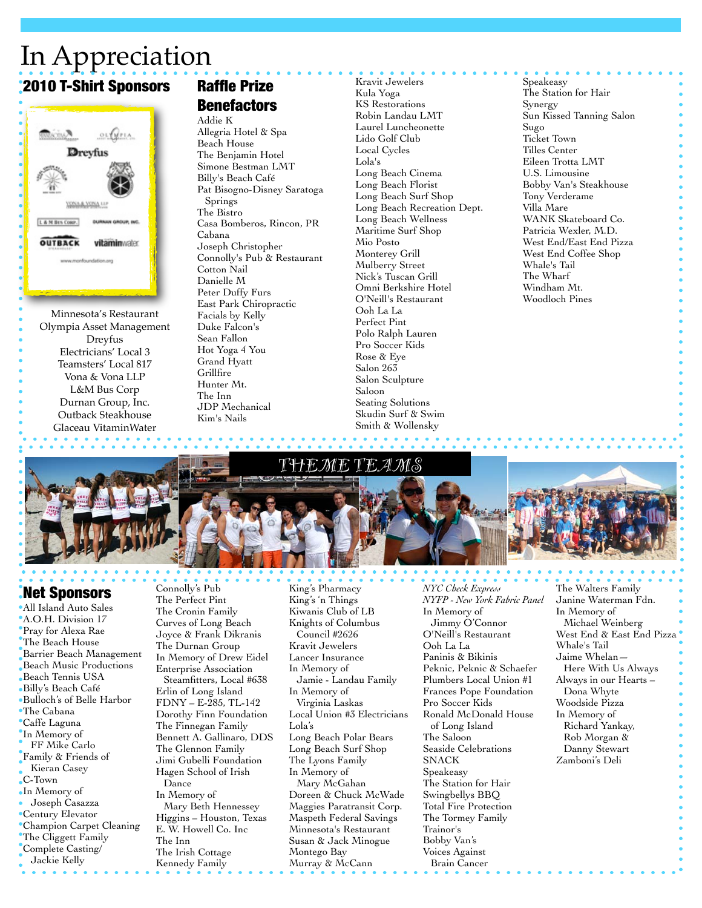## In Appreciation 2010 T-Shirt Sponsors



Minnesota's Restaurant Olympia Asset Management Dreyfus Electricians' Local 3 Teamsters' Local 817 Vona & Vona LLP L&M Bus Corp Durnan Group, Inc. Outback Steakhouse Glaceau VitaminWater

### Raffle Prize **Benefactors**

Addie K Allegria Hotel & Spa Beach House The Benjamin Hotel Simone Bestman LMT Billy's Beach Café Pat Bisogno-Disney Saratoga Springs The Bistro Casa Bomberos, Rincon, PR Cabana Joseph Christopher Connolly's Pub & Restaurant Cotton Nail Danielle M Peter Duffy Furs East Park Chiropractic Facials by Kelly Duke Falcon's Sean Fallon Hot Yoga 4 You Grand Hyatt **Grillfire** Hunter Mt. The Inn JDP Mechanical Kim's Nails

Kravit Jewelers Kula Yoga KS Restorations Robin Landau LMT Laurel Luncheonette Lido Golf Club Local Cycles Lola's Long Beach Cinema Long Beach Florist Long Beach Surf Shop Long Beach Recreation Dept. Long Beach Wellness Maritime Surf Shop Mio Posto Monterey Grill Mulberry Street Nick's Tuscan Grill Omni Berkshire Hotel O'Neill's Restaurant Ooh La La Perfect Pint Polo Ralph Lauren Pro Soccer Kids Rose & Eye Salon 263 Salon Sculpture Saloon Seating Solutions Skudin Surf & Swim Smith & Wollensky

Speakeasy The Station for Hair Synergy Sun Kissed Tanning Salon Sugo Ticket Town Tilles Center Eileen Trotta LMT U.S. Limousine Bobby Van's Steakhouse Tony Verderame Villa Mare WANK Skateboard Co. Patricia Wexler, M.D. West End/East End Pizza West End Coffee Shop Whale's Tail The Wharf Windham Mt. Woodloch Pines



#### Net Sponsors

All Island Auto Sales A.O.H. Division 17 Pray for Alexa Rae The Beach House Barrier Beach Management Beach Music Productions Beach Tennis USA Billy's Beach Café Bulloch's of Belle Harbor The Cabana Caffe Laguna In Memory of FF Mike Carlo Family & Friends of Kieran Casey C-Town In Memory of Joseph Casazza Century Elevator Champion Carpet Cleaning The Cliggett Family Complete Casting/ Jackie Kelly

Connolly's Pub The Perfect Pint The Cronin Family Curves of Long Beach Joyce & Frank Dikranis The Durnan Group In Memory of Drew Eidel Enterprise Association Steamfitters, Local #638 Erlin of Long Island FDNY – E-285, TL-142 Dorothy Finn Foundation The Finnegan Family Bennett A. Gallinaro, DDS The Glennon Family Jimi Gubelli Foundation Hagen School of Irish Dance In Memory of Mary Beth Hennessey Higgins – Houston, Texas E. W. Howell Co. Inc The Inn The Irish Cottage Kennedy Family

King's Pharmacy King's 'n Things Kiwanis Club of LB Knights of Columbus Council #2626 Kravit Jewelers Lancer Insurance In Memory of Jamie - Landau Family In Memory of Virginia Laskas Local Union #3 Electricians Lola's Long Beach Polar Bears Long Beach Surf Shop The Lyons Family In Memory of Mary McGahan Doreen & Chuck McWade Maggies Paratransit Corp. Maspeth Federal Savings Minnesota's Restaurant Susan & Jack Minogue Montego Bay Murray & McCann

*NYC Check Express NYFP - New York Fabric Panel* In Memory of Jimmy O'Connor O'Neill's Restaurant Ooh La La Paninis & Bikinis Peknic, Peknic & Schaefer Plumbers Local Union #1 Frances Pope Foundation Pro Soccer Kids Ronald McDonald House of Long Island The Saloon Seaside Celebrations SNACK Speakeasy The Station for Hair Swingbellys BBQ Total Fire Protection The Tormey Family Trainor's Bobby Van's Voices Against Brain Cancer

The Walters Family Janine Waterman Fdn. In Memory of Michael Weinberg West End & East End Pizza Whale's Tail Jaime Whelan— Here With Us Always Always in our Hearts – Dona Whyte Woodside Pizza In Memory of Richard Yankay, Rob Morgan & Danny Stewart Zamboni's Deli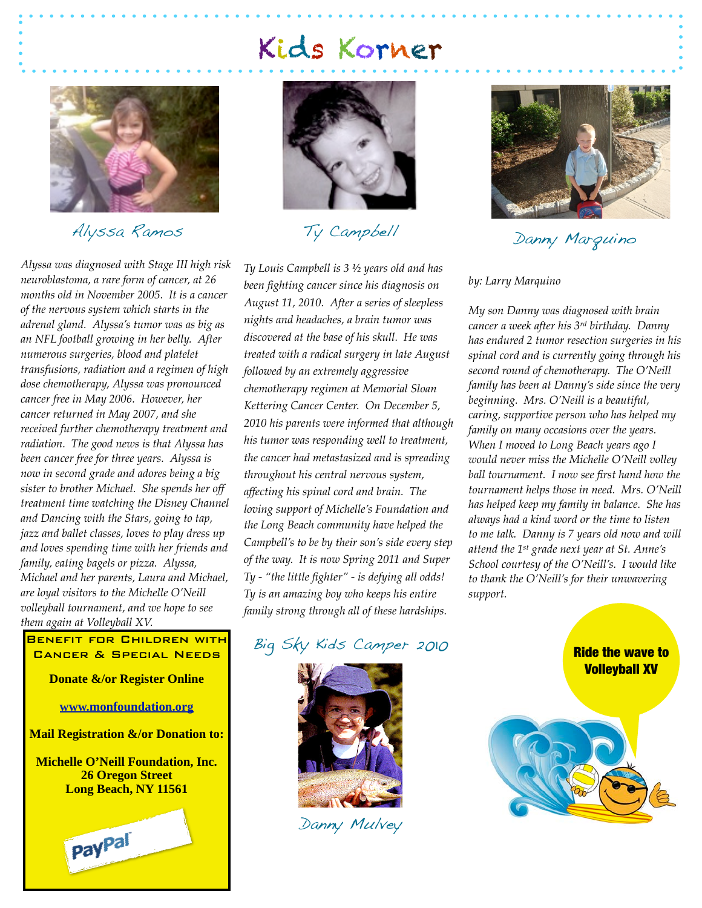# Kids Korner



#### Alyssa Ramos

*Alyssa was diagnosed with Stage III high risk neuroblastoma, a rare form of cancer, at 26 months old in November 2005. It is a cancer of the nervous system which starts in the adrenal gland. Alyssa's tumor was as big as an NFL football growing in her belly. After numerous surgeries, blood and platelet transfusions, radiation and a regimen of high dose chemotherapy, Alyssa was pronounced cancer free in May 2006. However, her cancer returned in May 2007, and she received further chemotherapy treatment and radiation. The good news is that Alyssa has been cancer free for three years. Alyssa is now in second grade and adores being a big sister to brother Michael. She spends her off treatment time watching the Disney Channel and Dancing with the Stars, going to tap, jazz and ballet classes, loves to play dress up and loves spending time with her friends and family, eating bagels or pizza. Alyssa, Michael and her parents, Laura and Michael, are loyal visitors to the Michelle O'Neill volleyball tournament, and we hope to see them again at Volleyball XV.*

#### Benefit for Children with Cancer & Special Needs

**Donate &/or Register Online**

**[www.monfoundation.org](http://www.monfoundation.org)**

**Mail Registration &/or Donation to:**

**Michelle O'Neill Foundation, Inc. 26 Oregon Street Long Beach, NY 11561**





Ty Campbell

*Ty Louis Campbell is 3 ½ years old and has been fighting cancer since his diagnosis on August 11, 2010. After a series of sleepless nights and headaches, a brain tumor was discovered at the base of his skull. He was treated with a radical surgery in late August followed by an extremely aggressive chemotherapy regimen at Memorial Sloan Kettering Cancer Center. On December 5, 2010 his parents were informed that although his tumor was responding well to treatment, the cancer had metastasized and is spreading throughout his central nervous system, affecting his spinal cord and brain. The loving support of Michelle's Foundation and the Long Beach community have helped the Campbell's to be by their son's side every step of the way. It is now Spring 2011 and Super Ty - "the little fighter" - is defying all odds! Ty is an amazing boy who keeps his entire family strong through all of these hardships.* 

### Big Sky Kids Camper 2010



Danny Mulvey



Danny Marquino

#### *by: Larry Marquino*

*My son Danny was diagnosed with brain cancer a week after his 3rd birthday. Danny has endured 2 tumor resection surgeries in his spinal cord and is currently going through his second round of chemotherapy. The O'Neill family has been at Danny's side since the very beginning. Mrs. O'Neill is a beautiful, caring, supportive person who has helped my family on many occasions over the years. When I moved to Long Beach years ago I would never miss the Michelle O'Neill volley ball tournament. I now see first hand how the tournament helps those in need. Mrs. O'Neill has helped keep my family in balance. She has always had a kind word or the time to listen to me talk. Danny is 7 years old now and will attend the 1st grade next year at St. Anne's School courtesy of the O'Neill's. I would like to thank the O'Neill's for their unwavering support.* 

> Ride the wave to Volleyball XV